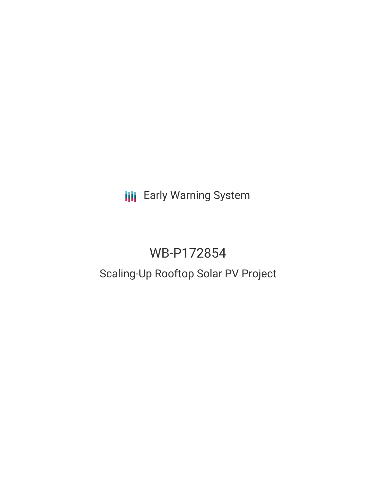**III** Early Warning System

# WB-P172854

# Scaling-Up Rooftop Solar PV Project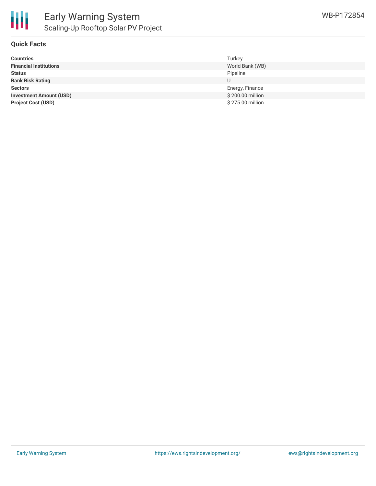

#### **Quick Facts**

| <b>Countries</b>               | Turkey           |
|--------------------------------|------------------|
| <b>Financial Institutions</b>  | World Bank (WB)  |
| <b>Status</b>                  | Pipeline         |
| <b>Bank Risk Rating</b>        | U                |
| <b>Sectors</b>                 | Energy, Finance  |
| <b>Investment Amount (USD)</b> | \$200.00 million |
| <b>Project Cost (USD)</b>      | \$275.00 million |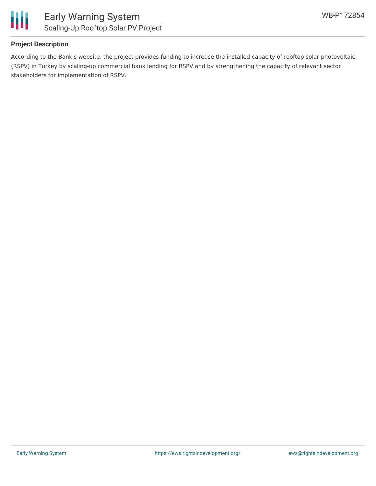

#### **Project Description**

According to the Bank's website, the project provides funding to increase the installed capacity of rooftop solar photovoltaic (RSPV) in Turkey by scaling-up commercial bank lending for RSPV and by strengthening the capacity of relevant sector stakeholders for implementation of RSPV.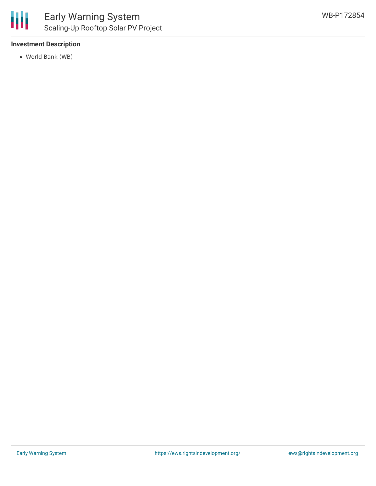#### **Investment Description**

World Bank (WB)